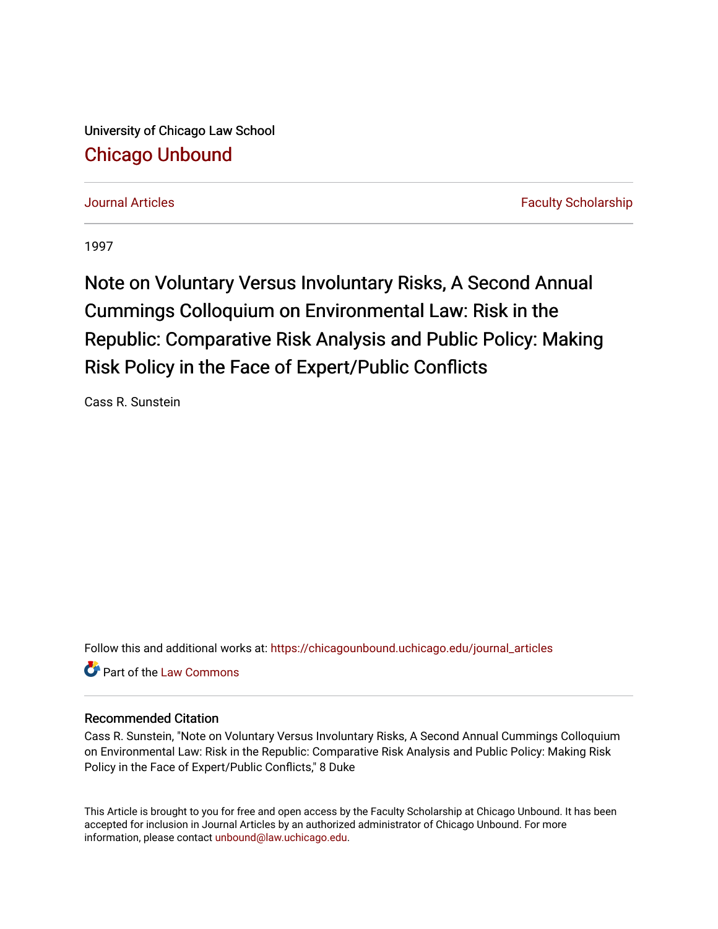University of Chicago Law School [Chicago Unbound](https://chicagounbound.uchicago.edu/)

[Journal Articles](https://chicagounbound.uchicago.edu/journal_articles) [Faculty Scholarship](https://chicagounbound.uchicago.edu/faculty_scholarship) Faculty Scholarship

1997

# Note on Voluntary Versus Involuntary Risks, A Second Annual Cummings Colloquium on Environmental Law: Risk in the Republic: Comparative Risk Analysis and Public Policy: Making Risk Policy in the Face of Expert/Public Conflicts

Cass R. Sunstein

Follow this and additional works at: [https://chicagounbound.uchicago.edu/journal\\_articles](https://chicagounbound.uchicago.edu/journal_articles?utm_source=chicagounbound.uchicago.edu%2Fjournal_articles%2F8473&utm_medium=PDF&utm_campaign=PDFCoverPages) 

**C** Part of the [Law Commons](http://network.bepress.com/hgg/discipline/578?utm_source=chicagounbound.uchicago.edu%2Fjournal_articles%2F8473&utm_medium=PDF&utm_campaign=PDFCoverPages)

# Recommended Citation

Cass R. Sunstein, "Note on Voluntary Versus Involuntary Risks, A Second Annual Cummings Colloquium on Environmental Law: Risk in the Republic: Comparative Risk Analysis and Public Policy: Making Risk Policy in the Face of Expert/Public Conflicts," 8 Duke

This Article is brought to you for free and open access by the Faculty Scholarship at Chicago Unbound. It has been accepted for inclusion in Journal Articles by an authorized administrator of Chicago Unbound. For more information, please contact [unbound@law.uchicago.edu](mailto:unbound@law.uchicago.edu).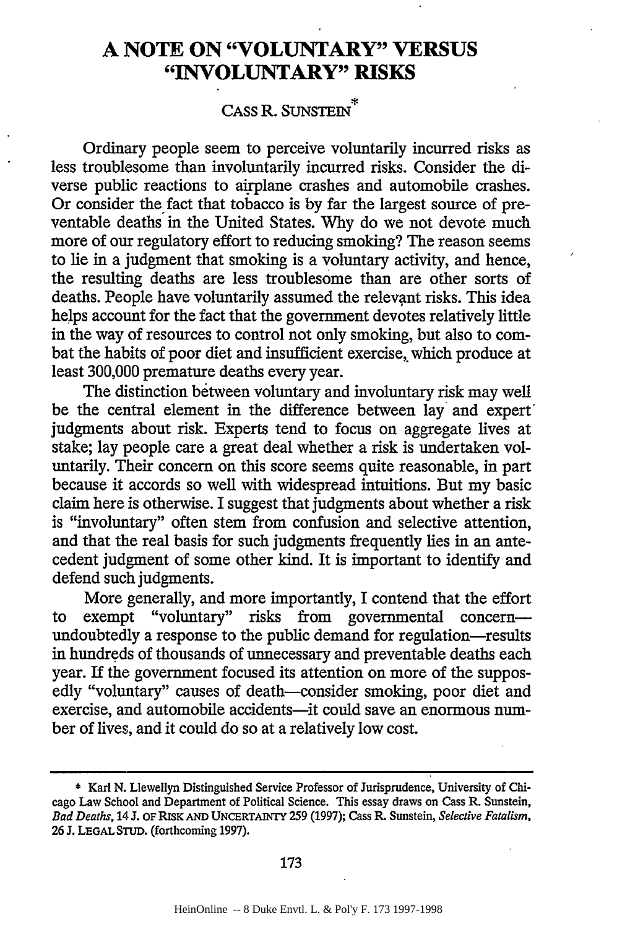# **A NOTE ON "VOLUNTARY" VERSUS "INVOLUNTARY" RISKS**

# CASS R. SUNSTEIN

Ordinary people seem to perceive voluntarily incurred risks as less troublesome than involuntarily incurred risks. Consider the diverse public reactions to airplane crashes and automobile crashes. Or consider the fact that tobacco is by far the largest source of preventable deaths in the United States. Why do we not devote much more of our regulatory effort to reducing smoking? The reason seems to lie in a judgment that smoking is a voluntary activity, and hence, the resulting deaths are less troublesome than are other sorts of deaths. People have voluntarily assumed the relevant risks. This idea helps account for the fact that the government devotes relatively little in the way of resources to control not only smoking, but also to combat the habits of poor diet and insufficient exercise, which produce at least 300,000 premature deaths every year.

The distinction between voluntary and involuntary risk may well be the central element in the difference between lay and expert' judgments about risk. Experts tend to focus on aggregate lives at stake; lay people care a great deal whether a risk is undertaken voluntarily. Their concern on this score seems quite reasonable, in part because it accords so well with widespread intuitions. But my basic claim here is otherwise. I suggest that judgments about whether a risk is "involuntary" often stem from confusion and selective attention, and that the real basis for such judgments frequently lies in an antecedent judgment of some other kind. It is important to identify and defend such judgments.

More generally, and more importantly, I contend that the effort to exempt "voluntary" risks from governmental concernundoubtedly a response to the public demand for regulation-results in hundreds of thousands of unnecessary and preventable deaths each year. If the government focused its attention on more of the supposedly "voluntary" causes of death-consider smoking, poor diet and exercise, and automobile accidents-it could save an enormous number of lives, and it could do so at a relatively low cost.

<sup>\*</sup> Karl **N.** Llewellyn Distinguished Service Professor of Jurisprudence, University of Chicago Law School and Department of Political Science. This essay draws on Cass R. Sunstein, *Bad Deaths,* 14 J. OF RISK **AND** UNCERTAINTY 259 (1997); Cass R. Sunstein, *Selective Fatalism,* 26 J. **LEGAL STUD.** (forthcoming 1997).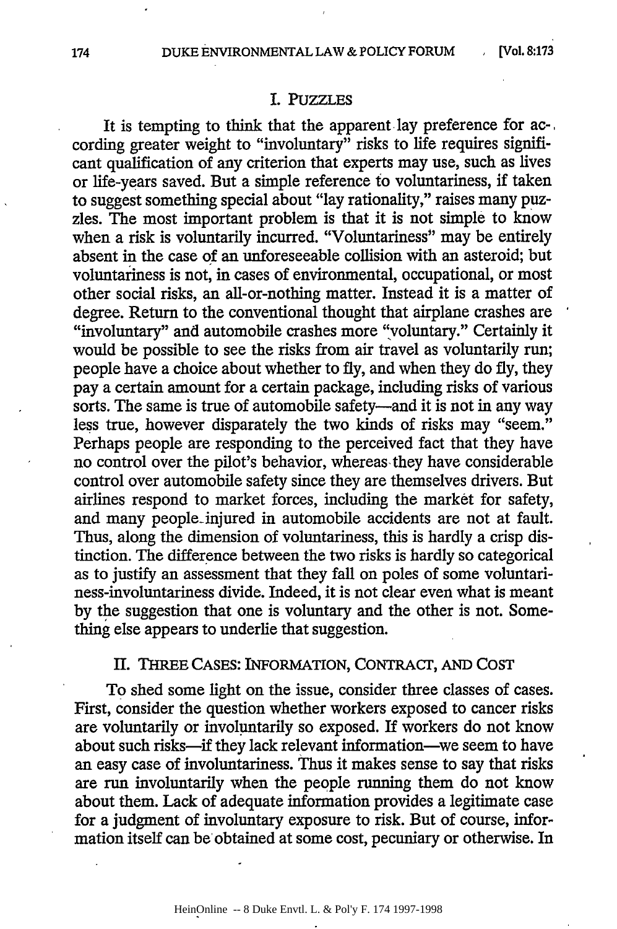#### I. PUZZLES

It is tempting to think that the apparent lay preference for ac-. cording greater weight to "involuntary" risks to life requires significant qualification of any criterion that experts may use, such as lives or life-years saved. But a simple reference to voluntariness, if taken to suggest something special about "lay rationality," raises many puzzles. The most important problem is that it is not simple to know when a risk is voluntarily incurred. "Voluntariness" may be entirely absent in the case of an unforeseeable collision with an asteroid; but voluntariness is not, in cases of environmental, occupational, or most other social risks, an all-or-nothing matter. Instead it is a matter of degree. Return to the conventional thought that airplane crashes are "involuntary" and automobile crashes more "voluntary." Certainly it would be possible to see the risks from air travel as voluntarily run; people have a choice about whether to fly, and when they do fly, they pay a certain amount for a certain package, including risks of various sorts. The same is true of automobile safety—and it is not in any way less true, however disparately the two kinds of risks may "seem." Perhaps people are responding to the perceived fact that they have no control over the pilot's behavior, whereas-they have considerable control over automobile safety since they are themselves drivers. But airlines respond to market forces, including the market for safety, and many people-injured in automobile accidents are not at fault. Thus, along the dimension of voluntariness, this is hardly a crisp distinction. The difference between the two risks is hardly so categorical as to justify an assessment that they fall on poles of some voluntariness-involuntariness divide. Indeed, it is not clear even what is meant by the suggestion that one is voluntary and the other is not. Something else appears to underlie that suggestion.

#### I. THREE **CASES:** INFORMATION, CONTRACT, AND COST

To shed some light on the issue, consider three classes of cases. First, consider the question whether workers exposed to cancer risks are voluntarily or involuntarily so exposed. If workers do not know about such risks-if they lack relevant information-we seem to have an easy case of involuntariness. Thus it makes sense to say that risks are run involuntarily when the people running them do not know about them. Lack of adequate information provides a legitimate case for a judgment of involuntary exposure to risk. But of course, information itself can be' obtained at some cost, pecuniary or otherwise. In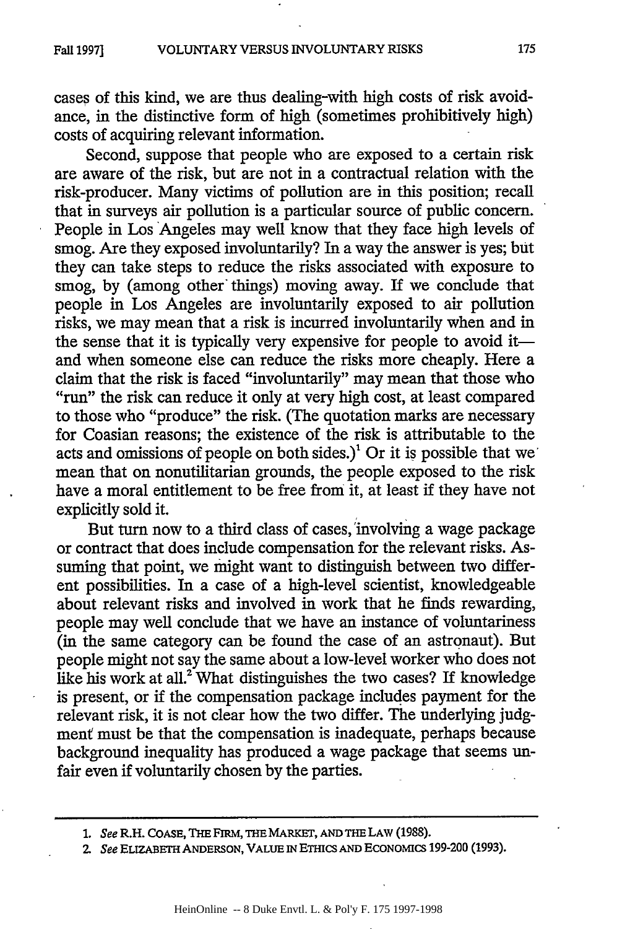cases of this kind, we are thus dealing-with high costs of risk avoidance, in the distinctive form of high (sometimes prohibitively high) costs of acquiring relevant information.

Second, suppose that people who are exposed to a certain risk are aware of the risk, but are not in a contractual relation with the risk-producer. Many victims of pollution are in this position; recall that in surveys air pollution is a particular source of public concern. People in Los Angeles may well know that they face high levels of smog. Are they exposed involuntarily? In a way the answer is yes; but they can take steps to reduce the risks associated with exposure to smog, by (among other things) moving away. If we conclude that people in Los Angeles are involuntarily exposed to air pollution risks, we may mean that a risk is incurred involuntarily when and in the sense that it is typically very expensive for people to avoid itand when someone else can reduce the risks more cheaply. Here a claim that the risk is faced "involuntarily" may mean that those who "run" the risk can reduce it only at very high cost, at least compared to those who "produce" the risk. (The quotation marks are necessary for Coasian reasons; the existence of the risk is attributable to the acts and omissions of people on both sides.)<sup>1</sup> Or it is possible that we' mean that on nonutilitarian grounds, the people exposed to the risk have a moral entitlement to be free from it, at least if they have not explicitly sold it.

But turn now to a third class of cases,'mvolving a wage package or contract that does include compensation for the relevant risks. Assuming that point, we might want to distinguish between two different possibilities. In a case of a high-level scientist, knowledgeable about relevant risks and involved in work that he finds rewarding, people may well conclude that we have an instance of voluntariness (in the same category can be found the case of an astronaut). But people might not say the same about a low-level worker who does not like his work at all.<sup>2</sup> What distinguishes the two cases? If knowledge is present, or if the compensation package includes payment for the relevant risk, it is not clear how the two differ. The underlying judgment must be that the compensation is inadequate, perhaps because background inequality has produced a wage package that seems unfair even if voluntarily chosen by the parties.

*<sup>1.</sup>* See R.H. COASE, THE FIRM, **THE** MARKET, **AND** THE LAW (1988).

*<sup>2.</sup> See* **ELIZABETH ANDERSON,** VALUE IN ETHICS **AND ECONOMICS** 199-200 (1993).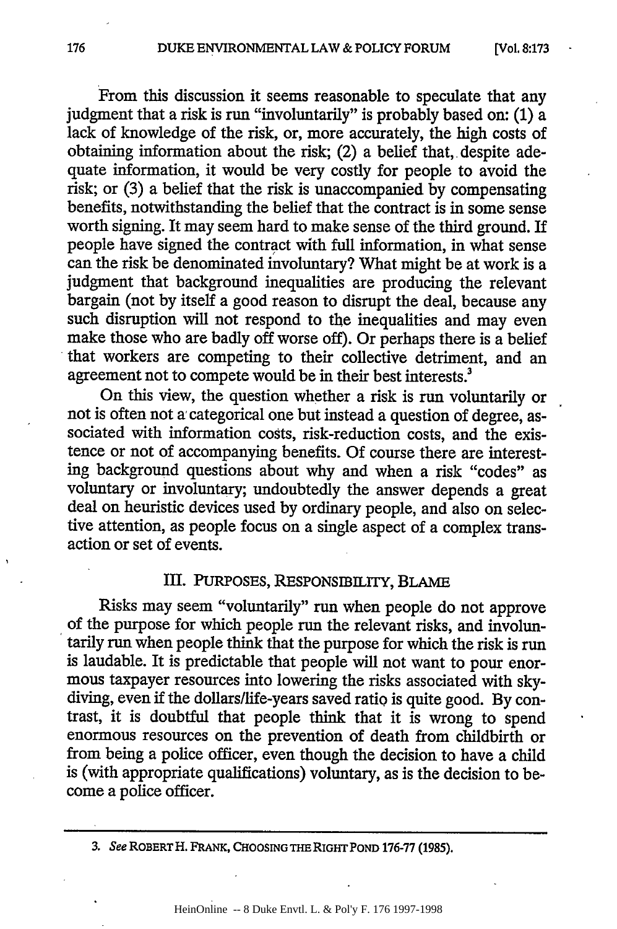From this discussion it seems reasonable to speculate that any judgment that a risk is run "involuntarily" is probably based on: (1) a lack of knowledge of the risk, or, more accurately, the high costs of obtaining information about the risk; (2) a belief that, despite adequate information, it would be very costly for people to avoid the risk; or (3) a belief that the risk is unaccompanied by compensating benefits, notwithstanding the belief that the contract is in some sense worth signing. It may seem hard to make sense of the third ground. If people have signed the contract with full information, in what sense can the risk be denominated involuntary? What might be at work is a judgment that background inequalities are producing the relevant bargain (not by itself a good reason to disrupt the deal, because any such disruption will not respond to the inequalities and may even make those who are badly off worse off). Or perhaps there is a belief that workers are competing to their collective detriment, and an agreement not to compete would be in their best interests?

On this view, the question whether a risk is run voluntarily or not is often not *a'* categorical one but instead a question of degree, associated with information costs, risk-reduction costs, and the existence or not of accompanying benefits. **Of** course there are interesting background questions about why and when a risk "codes" as voluntary or involuntary; undoubtedly the answer depends a great deal on heuristic devices used by ordinary people, and also on selective attention, as people focus on a single aspect of a complex transaction or set of events.

#### III. PURPOSES, RESPONSIBILITY, BLAME

Risks may seem "voluntarily" run when people do not approve of the purpose for which people run the relevant risks, and involuntarily run when people think that the purpose for which the risk is run is laudable. It is predictable that people will not want to pour enormous taxpayer resources into lowering the risks associated with skydiving, even if the dollars/life-years saved ratio is quite good. **By** contrast, it is doubtful that people think that it is wrong to spend enormous resources on the prevention of death from childbirth or from being a police officer, even though the decision to have a child is (with appropriate qualifications) voluntary, as is the decision to become a police officer.

*<sup>3.</sup>* See **ROBERT** H. FRANK, **CHOOSING THE RIGHTPOND 176-77** (1985).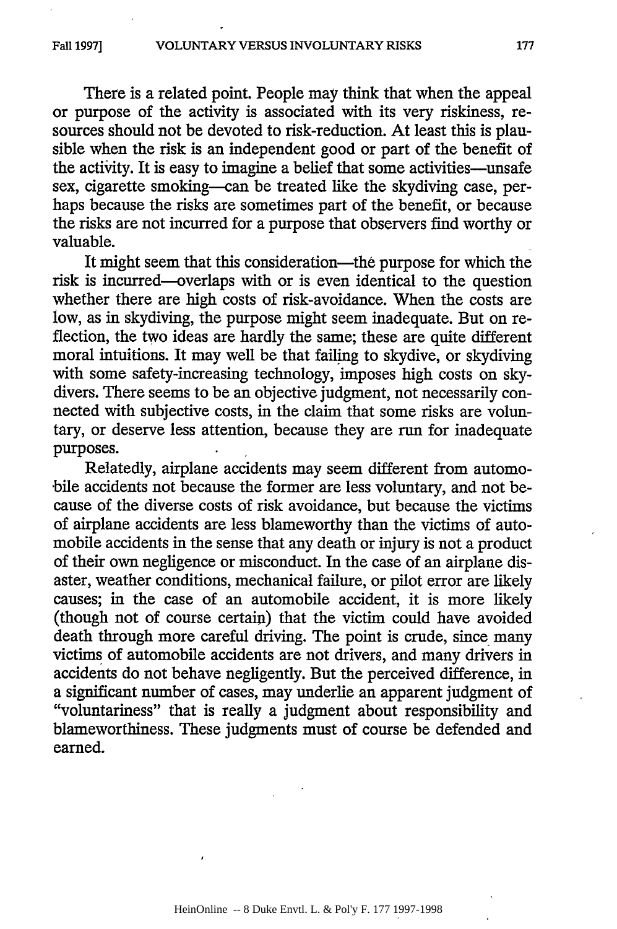There is a related point. People may think that when the appeal or purpose of the activity is associated with its very riskiness, resources should not be devoted to risk-reduction. At least this is plausible when the risk is an independent good or part of the benefit of the activity. It is easy to imagine a belief that some activities-unsafe sex, cigarette smoking—can be treated like the skydiving case, perhaps because the risks are sometimes part of the benefit, or because the risks are not incurred for a purpose that observers find worthy or valuable.

It might seem that this consideration—the purpose for which the risk is incurred-overlaps with or is even identical to the question whether there are high costs of risk-avoidance. When the costs are low, as in skydiving, the purpose might seem inadequate. But on reflection, the two ideas are hardly the same; these are quite different moral intuitions. It may well be that failing to skydive, or skydiving with some safety-increasing technology, imposes high costs on skydivers. There seems to be an objective judgment, not necessarily connected with subjective costs, in the claim that some risks are voluntary, or deserve less attention, because they are run for inadequate purposes.

Relatedly, airplane accidents may seem different from automobile accidents not because the former are less voluntary, and not because of the diverse costs of risk avoidance, but because the victims of airplane accidents are less blameworthy than the victims of automobile accidents in the sense that any death or injury is not a product of their own negligence or misconduct. In the case of an airplane disaster, weather conditions, mechanical failure, or pilot error are likely causes; in the case of an automobile accident, it is more likely (though not of course certain) that the victim could have avoided death through more careful driving. The point is crude, since many victims of automobile accidents are not drivers, and many drivers in accidents do not behave negligently. But the perceived difference, in a significant number of cases, may underlie an apparent judgment of "voluntariness" that is really a judgment about responsibility and blameworthiness. These judgments must of course be defended and earned.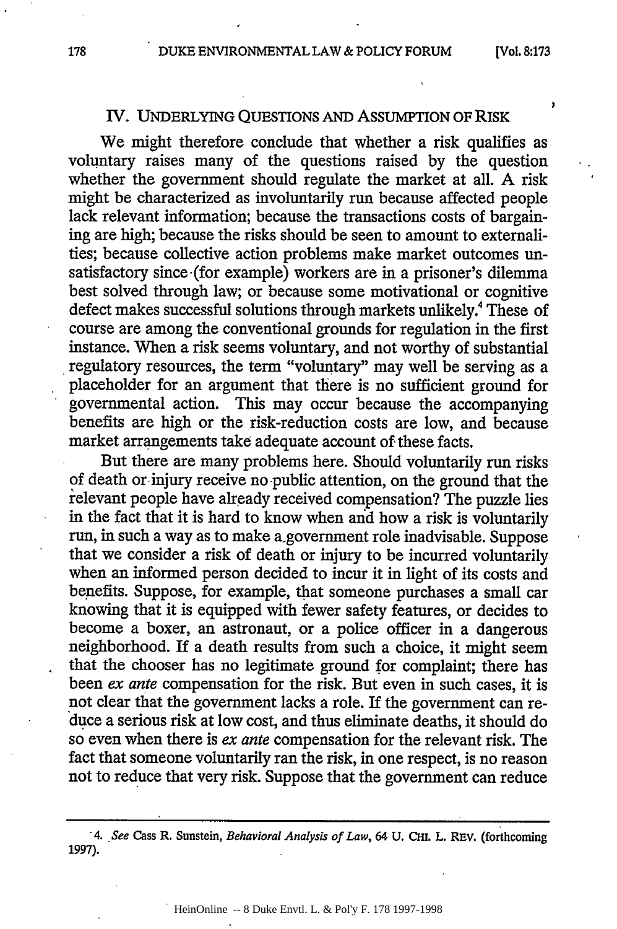### IV. UNDERLYING QUESTIONS AND ASSUMPTION OF RISK

We might therefore conclude that whether a risk qualifies as voluntary raises many of the questions raised by the question whether the government should regulate the market at all. A risk might be characterized as involuntarily run because affected people lack relevant information; because the transactions costs of bargaining are high; because the risks should be seen to amount to externalities; because collective action problems make market outcomes unsatisfactory since (for example) workers are in a prisoner's dilemma best solved through law; or because some motivational or cognitive defect makes successful solutions through markets unlikely.4 These of course are among the conventional grounds for regulation in the first instance. When a risk seems voluntary, and not worthy of substantial regulatory resources, the term "voluntary" may well be serving as a placeholder for an argument that there is no sufficient ground for governmental action. This may occur because the accompanying benefits are high or the risk-reduction costs are low, and because market arrangements take adequate account of these facts.

But there are many problems here. Should voluntarily run risks of death or injury receive no public attention, on the ground that the relevant people have already received compensation? The puzzle lies in the fact that it is hard to know when and how a risk is voluntarily run, in such a way as to make a-government role inadvisable. Suppose that we consider a risk of death or injury to be incurred voluntarily when an informed person decided to incur it in light of its costs and benefits. Suppose, for example, that someone purchases a small car knowing that it is equipped with fewer safety features, or decides to become a boxer, an astronaut, or a police officer in a dangerous neighborhood. If a death results from such a choice, it might seem that the chooser has no legitimate ground for complaint; there has been *ex ante* compensation for the risk. But even in such cases, it is not clear that the government lacks a role. If the government can reduce a serious risk at low cost, and thus eliminate deaths, it should do so even when there is *ex ante* compensation for the relevant risk. The fact that someone voluntarily ran the risk, in one respect, is no reason not to reduce that very risk. Suppose that the government can reduce

*<sup>-4.</sup> See* Cass R. Sunstein, *Behavioral Analysis of Law,* 64 U. CH. L. REV. (forthcoming **1997).**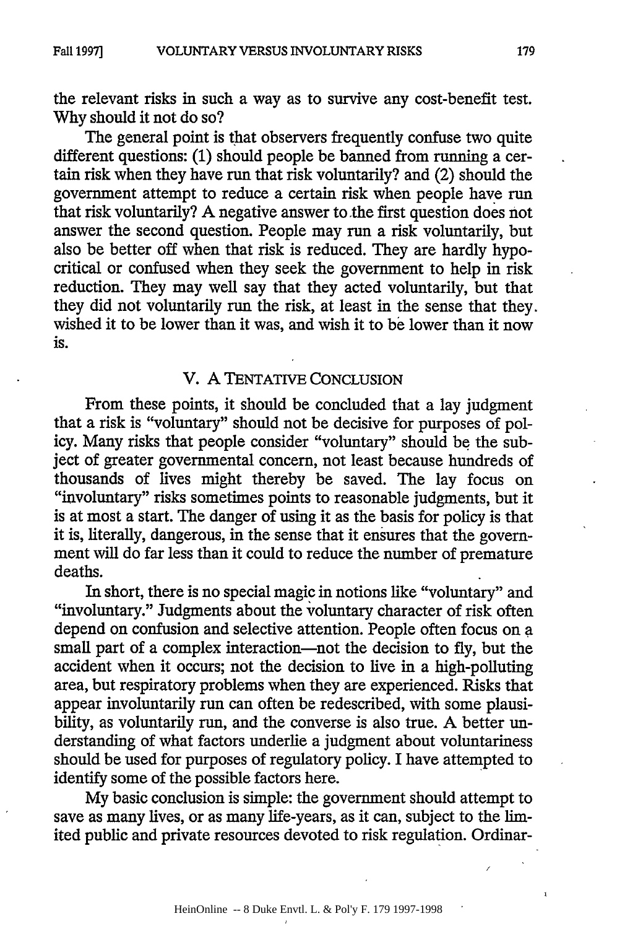the relevant risks in such a way as to survive any cost-benefit test. Why should it not do so?

The general point is that observers frequently confuse two quite different questions: (1) should people be banned from running a certain risk when they have run that risk voluntarily? and (2) should the government attempt to reduce a certain risk when people have run that risk voluntarily? A negative answer to the first question does not answer the second question. People may run a risk voluntarily, but also be better off when that risk is reduced. They are hardly hypocritical or confused when they seek the government to help in risk reduction. They may well say that they acted voluntarily, but that they did not voluntarily run the risk, at least in the sense that they. wished it to be lower than it was, and wish it to be lower than it now is.

## V. A TENTATIVE CONCLUSION

From these points, it should be concluded that a lay judgment that a risk is "voluntary" should not be decisive for purposes of policy. Many risks that people consider "voluntary" should be the subject of greater governmental concern, not least because hundreds of thousands of lives might thereby be saved. The lay focus on "involuntary" risks sometimes points to reasonable judgments, but it is at most a start. The danger of using it as the basis for policy is that it is, literally, dangerous, in the sense that it ensures that the government will do far less than it could to reduce the number of premature deaths.

In short, there is no special magic in notions like "voluntary" and "involuntary." Judgments about the voluntary character of risk often depend on confusion and selective attention. People often focus on a small part of a complex interaction-not the decision to fly, but the accident when it occurs; not the decision to live in a high-polluting area, but respiratory problems when they are experienced. Risks that appear involuntarily run can often be redescribed, with some plausibility, as voluntarily run, and the converse is also true. A better understanding of what factors underlie a judgment about voluntariness should be used for purposes of regulatory policy. I have attempted to identify some of the possible factors here.

My basic conclusion is simple: the government should attempt to save as many lives, or as many life-years, as it can, subject to the limited public and private resources devoted to risk regulation. Ordinar